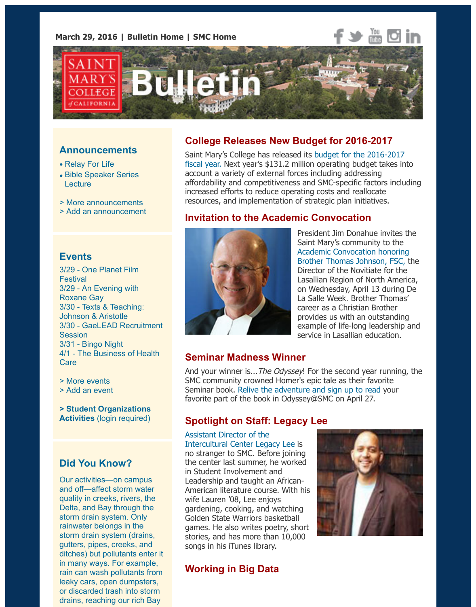

#### **Announcements**

- Relay For Life
- Bible Speaker Series **Lecture**
- > More announcements
- > Add an announcement

# **Events**

3[/29 - One Planet Film](https://www.stmarys-ca.edu/bible-speaker-series-lecture-featuring-professor-erin-runions?utm_source=Bulletin&utm_medium=email&utm_content=announcement_test&utm_campaign=03-29-2016) **Festival** 3/29 [- An Evening with](http://www.stmarys-ca.edu/smc-bulletin/announcements?utm_source=Bulletin&utm_medium=email&utm_content=announcement_test&utm_campaign=03-29-2016) [Roxane Gay](http://www.stmarys-ca.edu/node/add/announcement?utm_source=Bulletin&utm_medium=email&utm_content=announcement_test&utm_campaign=03-29-2016) 3/30 - Texts & Teaching: Johnson & Aristotle 3/30 - GaeLEAD Recruitment **Session** 3/31 - Bingo Night [4/1 - The Business of H](http://www.stmarys-ca.edu/one-planet-film-festival-2016?utm_source=Bulletin&utm_medium=email&utm_content=event_test&utm_campaign=03-29-2016)ealth **Care** 

- 
- [> More events](http://www.stmarys-ca.edu/an-evening-with-roxane-gay-author-of-bad-feminist?utm_source=Bulletin&utm_medium=email&utm_content=event_test&utm_campaign=03-29-2016) [> Add an event](http://www.stmarys-ca.edu/texts-teaching-on-friendship-johnson-aristotle?utm_source=Bulletin&utm_medium=email&utm_content=event_test&utm_campaign=03-29-2016)

**[> Student Organizations](http://www.stmarys-ca.edu/gaelead-recruitment-sessions?utm_source=Bulletin&utm_medium=email&utm_content=event_test&utm_campaign=03-29-2016) Activities** [\(login re](http://www.stmarys-ca.edu/bingo-night?utm_source=Bulletin&utm_medium=email&utm_content=event_test&utm_campaign=03-29-2016)quired)

# **[Did You Kn](http://www.stmarys-ca.edu/events?utm_source=Bulletin&utm_medium=email&utm_content=event_test&utm_campaign=03-29-2016)ow?**

[Our activities—o](http://www.stmarys-ca.edu/node/add/calendar-event?utm_source=Bulletin&utm_medium=email&utm_content=event_test&utm_campaign=03-29-2016)n campus and off—affect storm water [quality in creeks, rivers, the](https://stmarys-ca-community.symplicity.com/) Delta, and Bay through the storm drain system. Only rainwater belongs in the storm drain system (drains, gutters, pipes, creeks, and ditches) but pollutants enter it in many ways. For example, rain can wash pollutants from leaky cars, open dumpsters, or discarded trash into storm drains, reaching our rich Bay

# **College Releases New Budget for 2016-2017**

Saint Mary's College has released its budget for the 2016-2017 fiscal year. Next year's \$131.2 million operating budget takes in account a variety of external forces including addressing affordability and competitiveness and SMC-specific factors including increased efforts to reduce operating costs and reallocate resources, and implementation of strategic plan initiatives.

# **Invitation to the Academic Convocation**



President Jim Donahue invites [Saint Mary's community to the](https://www.stmarys-ca.edu/vice-president-for-finance/messages?utm_source=Bulletin&utm_medium=email&utm_content=feature_test&utm_campaign=03-29-2016) Academic Convocation honoring Brother Thomas Johnson, FSC, Director of the Novitiate for the Lasallian Region of North Amer on Wednesday, April 13 during La Salle Week. Brother Thoma career as a Christian Brother provides us with an outstanding example of life-long leadership [service in Lasallian education.](https://www.stmarys-ca.edu/this-year%E2%80%99s-academic-convocation?utm_source=Bulletin&utm_medium=email&utm_content=feature_test&utm_campaign=03-29-2016)

#### **Seminar Madness Winner**

And your winner is... The Odyssey! For the second year running SMC community crowned Homer's epic tale as their favorite Seminar book. Relive the adventure and sign up to read your favorite part of the book in Odyssey@SMC on April 27.

# **Spotlight on Staff: Legacy Lee**

Assistant Director of the Intercultural Center Legacy Lee is no stranger to SMC. Before joining the center last summer, he worked in Student Inv[olvement and](http://www.stmarys-ca.edu/marathon-reading-of-homers-odyssey-smc-001-102-all?utm_source=Bulletin&utm_medium=email&utm_content=feature_test&utm_campaign=03-29-2016) Leadership and taught an African-American literature course. With his wife Lauren '08, Lee enjoys gardening, cooking, and watching Golden State Warriors basketball [games. He also writes poetry, short](http://www.stmarys-ca.edu/spotlight-on-staff-legacy-lee-0?utm_source=Bulletin&utm_medium=email&utm_content=feature_test&utm_campaign=03-29-2016) stories, and has more than 10,000 songs in his iTunes library.

## **Working in Big Data**